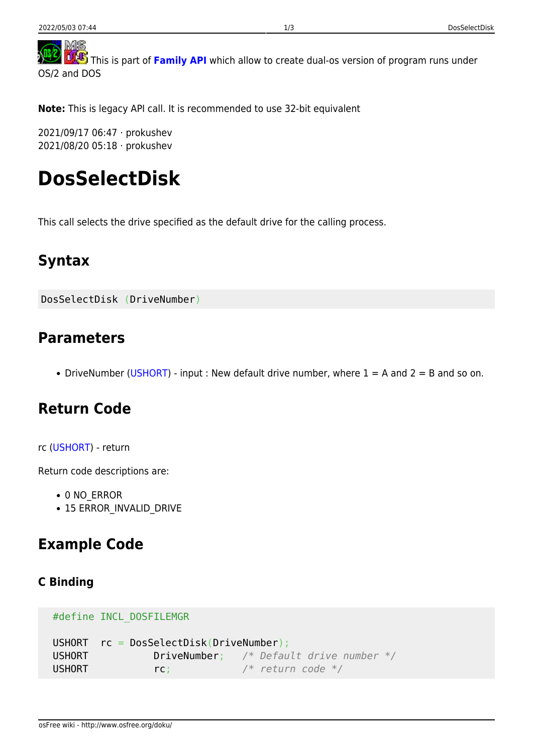<span id="page-0-0"></span>MS **TAS** This is part of [Family API](http://www.osfree.org/doku/en:docs:fapi) which allow to create dual-os version of program runs under OS/2 and DOS

**Note:** This is legacy API call. It is recommended to use 32-bit equivalent

2021/09/17 06:47 · prokushev 2021/08/20 05:18 · prokushev

# **DosSelectDisk**

This call selects the drive specified as the default drive for the calling process.

# **Syntax**

DosSelectDisk (DriveNumber)

### **Parameters**

• DriveNumber ([USHORT](http://www.osfree.org/doku/en:docs:fapi:ushort)) - input : New default drive number, where  $1 = A$  and  $2 = B$  and so on.

## **Return Code**

#### rc [\(USHORT\)](http://www.osfree.org/doku/en:docs:fapi:ushort) - return

Return code descriptions are:

- 0 NO ERROR
- 15 ERROR INVALID DRIVE

### **Example Code**

### **C Binding**

```
 #define INCL_DOSFILEMGR
```

```
 USHORT rc = DosSelectDisk(DriveNumber);
 USHORT DriveNumber; /* Default drive number */
USHORT rc; \sqrt{\frac{4}{\pi}} return code \sqrt[*]{}
```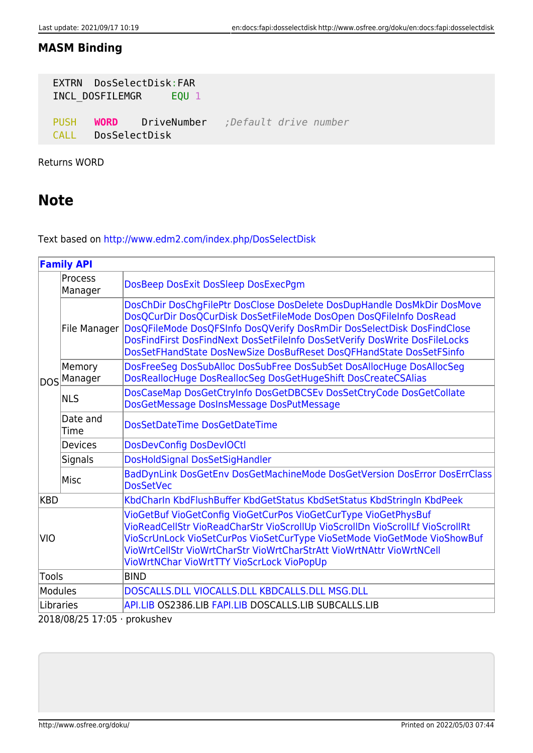### **MASM Binding**

| EXTRN DosSelectDisk:FAR<br>INCL DOSFILEMGR EQU 1 |                    |                                                |  |
|--------------------------------------------------|--------------------|------------------------------------------------|--|
| <b>PUSH</b>                                      | CALL DosSelectDisk | <b>WORD</b> DriveNumber ; Default drive number |  |

Returns WORD

### **Note**

Text based on<http://www.edm2.com/index.php/DosSelectDisk>

| <b>Family API</b> |                              |                                                                                                                                                                                                                                                                                                                                                                              |
|-------------------|------------------------------|------------------------------------------------------------------------------------------------------------------------------------------------------------------------------------------------------------------------------------------------------------------------------------------------------------------------------------------------------------------------------|
|                   | <b>Process</b><br>Manager    | DosBeep DosExit DosSleep DosExecPgm                                                                                                                                                                                                                                                                                                                                          |
|                   | File Manager                 | DosChDir DosChgFilePtr DosClose DosDelete DosDupHandle DosMkDir DosMove<br>DosQCurDir DosQCurDisk DosSetFileMode DosOpen DosQFileInfo DosRead<br>DosQFileMode DosQFSInfo DosQVerify DosRmDir DosSelectDisk DosFindClose<br>DosFindFirst DosFindNext DosSetFileInfo DosSetVerify DosWrite DosFileLocks<br>DosSetFHandState DosNewSize DosBufReset DosQFHandState DosSetFSinfo |
|                   | Memory<br>DOS Manager        | DosFreeSeg DosSubAlloc DosSubFree DosSubSet DosAllocHuge DosAllocSeg<br>DosReallocHuge DosReallocSeg DosGetHugeShift DosCreateCSAlias                                                                                                                                                                                                                                        |
|                   | <b>NLS</b>                   | DosCaseMap DosGetCtryInfo DosGetDBCSEv DosSetCtryCode DosGetCollate<br>DosGetMessage DosInsMessage DosPutMessage                                                                                                                                                                                                                                                             |
|                   | Date and<br><b>Time</b>      | DosSetDateTime DosGetDateTime                                                                                                                                                                                                                                                                                                                                                |
|                   | <b>Devices</b>               | <b>DosDevConfig DosDevIOCtl</b>                                                                                                                                                                                                                                                                                                                                              |
|                   | <b>Signals</b>               | DosHoldSignal DosSetSigHandler                                                                                                                                                                                                                                                                                                                                               |
|                   | Misc                         | BadDynLink DosGetEnv DosGetMachineMode DosGetVersion DosError DosErrClass<br><b>DosSetVec</b>                                                                                                                                                                                                                                                                                |
| <b>KBD</b>        |                              | KbdCharln KbdFlushBuffer KbdGetStatus KbdSetStatus KbdStringIn KbdPeek                                                                                                                                                                                                                                                                                                       |
| <b>VIO</b>        |                              | VioGetBuf VioGetConfig VioGetCurPos VioGetCurType VioGetPhysBuf<br>VioReadCellStr VioReadCharStr VioScrollUp VioScrollDn VioScrollLf VioScrollRt<br>VioScrUnLock VioSetCurPos VioSetCurType VioSetMode VioGetMode VioShowBuf<br>VioWrtCellStr VioWrtCharStr VioWrtCharStrAtt VioWrtNAttr VioWrtNCell<br>VioWrtNChar VioWrtTTY VioScrLock VioPopUp                            |
| Tools             |                              | <b>BIND</b>                                                                                                                                                                                                                                                                                                                                                                  |
| <b>Modules</b>    |                              | DOSCALLS.DLL VIOCALLS.DLL KBDCALLS.DLL MSG.DLL                                                                                                                                                                                                                                                                                                                               |
| Libraries         |                              | API.LIB OS2386.LIB FAPI.LIB DOSCALLS.LIB SUBCALLS.LIB                                                                                                                                                                                                                                                                                                                        |
|                   | 2018/08/25 17:05 · prokushev |                                                                                                                                                                                                                                                                                                                                                                              |